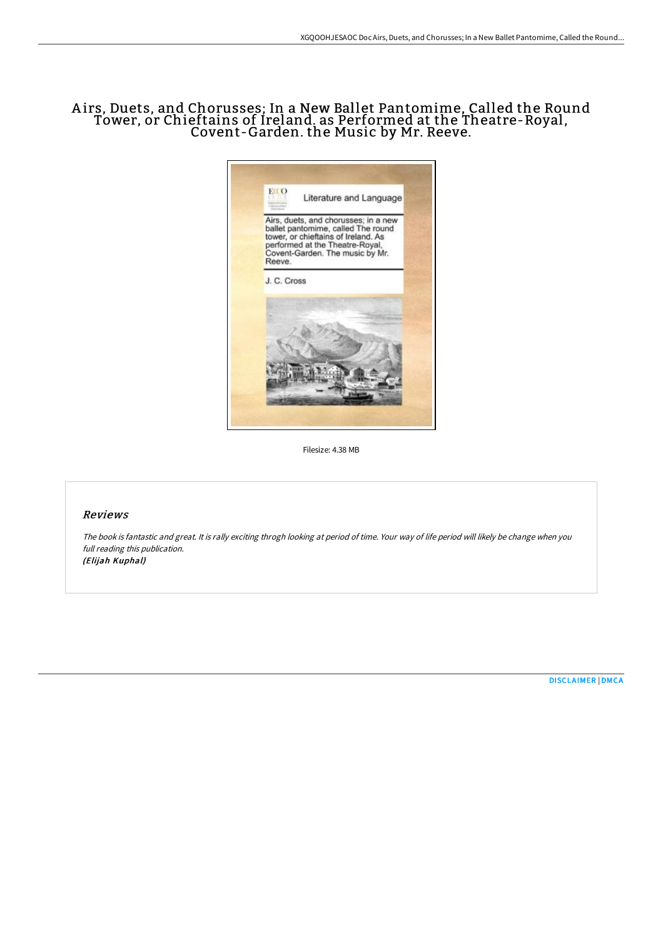# A irs, Duets, and Chorusses; In a New Ballet Pantomime, Called the Round Tower, or Chieftains of Ireland. as Performed at the Theatre-Royal, Covent-Garden. the Music by Mr. Reeve.



Filesize: 4.38 MB

## Reviews

The book is fantastic and great. It is rally exciting throgh looking at period of time. Your way of life period will likely be change when you full reading this publication. (Elijah Kuphal)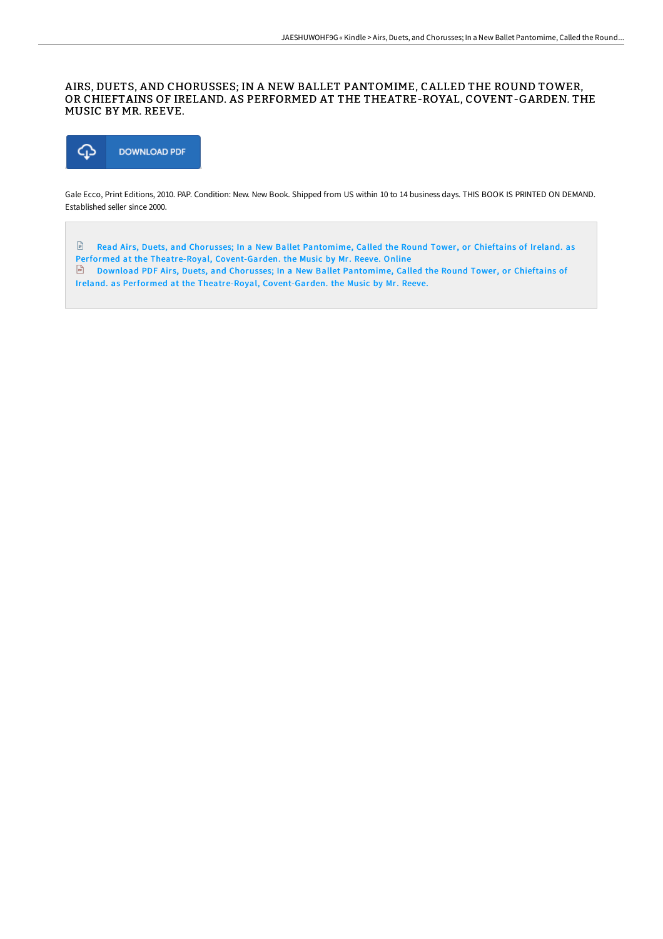## AIRS, DUETS, AND CHORUSSES; IN A NEW BALLET PANTOMIME, CALLED THE ROUND TOWER, OR CHIEFTAINS OF IRELAND. AS PERFORMED AT THE THEATRE-ROYAL, COVENT-GARDEN. THE MUSIC BY MR. REEVE.



Gale Ecco, Print Editions, 2010. PAP. Condition: New. New Book. Shipped from US within 10 to 14 business days. THIS BOOK IS PRINTED ON DEMAND. Established seller since 2000.

 $\Box$ Read Airs, Duets, and Chorusses; In a New Ballet Pantomime, Called the Round Tower, or Chieftains of Ireland. as Performed at the Theatre-Royal, [Covent-Garden.](http://www.bookdirs.com/airs-duets-and-chorusses-in-a-new-ballet-pantomi.html) the Music by Mr. Reeve. Online Download PDF Airs, Duets, and Chorusses; In a New Ballet Pantomime, Called the Round Tower, or Chieftains of Ireland. as Performed at the Theatre-Royal, [Covent-Garden.](http://www.bookdirs.com/airs-duets-and-chorusses-in-a-new-ballet-pantomi.html) the Music by Mr. Reeve.